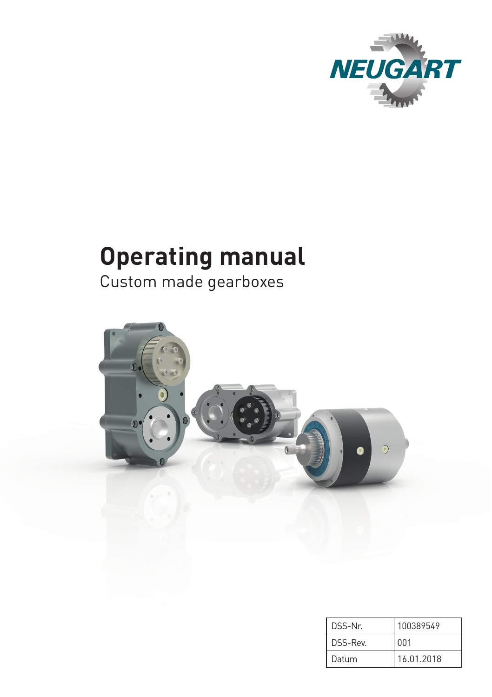

# **Operating manual**

Custom made gearboxes



| DSS-Nr  | 100389549  |
|---------|------------|
| DSS-Rev | 001        |
| Datum   | 16.01.2018 |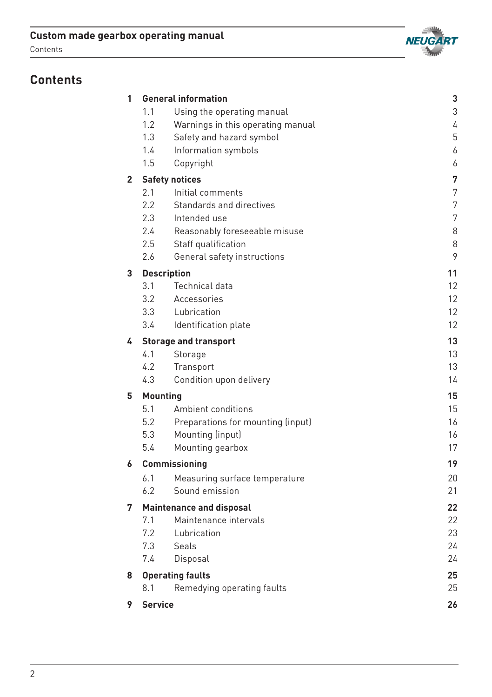## **Custom made gearbox operating manual**





# **Contents**

| 1              |                    | <b>General information</b>        | 3  |
|----------------|--------------------|-----------------------------------|----|
|                | 1.1                | Using the operating manual        | 3  |
|                | 1.2                | Warnings in this operating manual | 4  |
|                | 1.3                | Safety and hazard symbol          | 5  |
|                | 1.4                | Information symbols               | 6  |
|                | 1.5                | Copyright                         | 6  |
| $\overline{2}$ |                    | <b>Safety notices</b>             | 7  |
|                | 2.1                | Initial comments                  | 7  |
|                | 2.2                | Standards and directives          | 7  |
|                | 2.3                | Intended use                      | 7  |
|                | 2.4                | Reasonably foreseeable misuse     | 8  |
|                | 2.5                | Staff qualification               | 8  |
|                | 2.6                | General safety instructions       | 9  |
| 3              | <b>Description</b> |                                   | 11 |
|                | 3.1                | Technical data                    | 12 |
|                | 3.2                | Accessories                       | 12 |
|                | 3.3                | Lubrication                       | 12 |
|                | 3.4                | Identification plate              | 12 |
| 4              |                    | <b>Storage and transport</b>      | 13 |
|                | 4.1                | Storage                           | 13 |
|                | 4.2                | Transport                         | 13 |
|                | 4.3                | Condition upon delivery           | 14 |
| 5              | <b>Mounting</b>    |                                   | 15 |
|                | 5.1                | Ambient conditions                | 15 |
|                | 5.2                | Preparations for mounting (input) | 16 |
|                | 5.3                | Mounting (input)                  | 16 |
|                | 5.4                | Mounting gearbox                  | 17 |
| 6              |                    | <b>Commissioning</b>              | 19 |
|                | 6.1                | Measuring surface temperature     | 20 |
|                | 6.2                | Sound emission                    | 21 |
| 7              |                    | <b>Maintenance and disposal</b>   | 22 |
|                | 7.1                | Maintenance intervals             | 22 |
|                | 7.2                | Lubrication                       | 23 |
|                | 7.3                | Seals                             | 24 |
|                | 7.4                | Disposal                          | 24 |
| 8              |                    | <b>Operating faults</b>           | 25 |
|                | 8.1                | Remedying operating faults        | 25 |
| 9              | <b>Service</b>     |                                   | 26 |
|                |                    |                                   |    |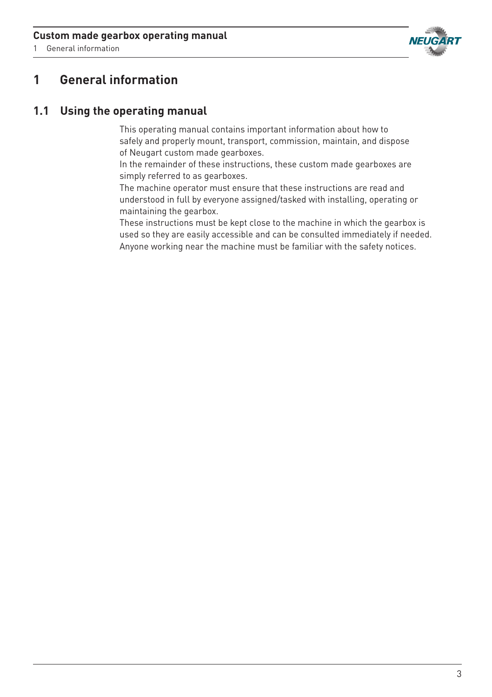

1 General information

# **1 General information**

## **1.1 Using the operating manual**

This operating manual contains important information about how to safely and properly mount, transport, commission, maintain, and dispose of Neugart custom made gearboxes.

In the remainder of these instructions, these custom made gearboxes are simply referred to as gearboxes.

The machine operator must ensure that these instructions are read and understood in full by everyone assigned/tasked with installing, operating or maintaining the gearbox.

These instructions must be kept close to the machine in which the gearbox is used so they are easily accessible and can be consulted immediately if needed. Anyone working near the machine must be familiar with the safety notices.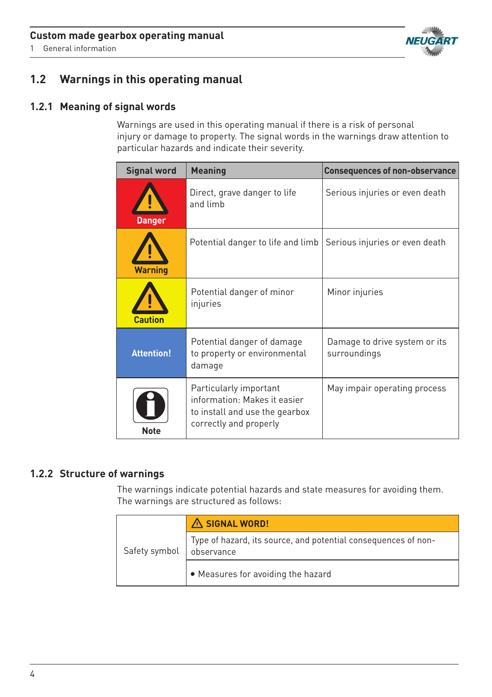

1 General information

## **1.2 Warnings in this operating manual**

### **1.2.1 Meaning of signal words**

Warnings are used in this operating manual if there is a risk of personal injury or damage to property. The signal words in the warnings draw attention to particular hazards and indicate their severity.

| <b>Signal word</b> | <b>Meaning</b>                                                                                                     | <b>Consequences of non-observance</b>         |
|--------------------|--------------------------------------------------------------------------------------------------------------------|-----------------------------------------------|
| <b>Danger</b>      | Direct, grave danger to life<br>and limb                                                                           | Serious injuries or even death                |
| <b>Warning</b>     | Potential danger to life and limb                                                                                  | Serious injuries or even death                |
| <b>Caution</b>     | Potential danger of minor<br>injuries                                                                              | Minor injuries                                |
| <b>Attention!</b>  | Potential danger of damage<br>to property or environmental<br>damage                                               | Damage to drive system or its<br>surroundings |
| <b>Note</b>        | Particularly important<br>information: Makes it easier<br>to install and use the gearbox<br>correctly and properly | May impair operating process                  |

## **1.2.2 Structure of warnings**

The warnings indicate potential hazards and state measures for avoiding them. The warnings are structured as follows:

|               | A SIGNAL WORD!                                                               |
|---------------|------------------------------------------------------------------------------|
| Safety symbol | Type of hazard, its source, and potential consequences of non-<br>observance |
|               | • Measures for avoiding the hazard                                           |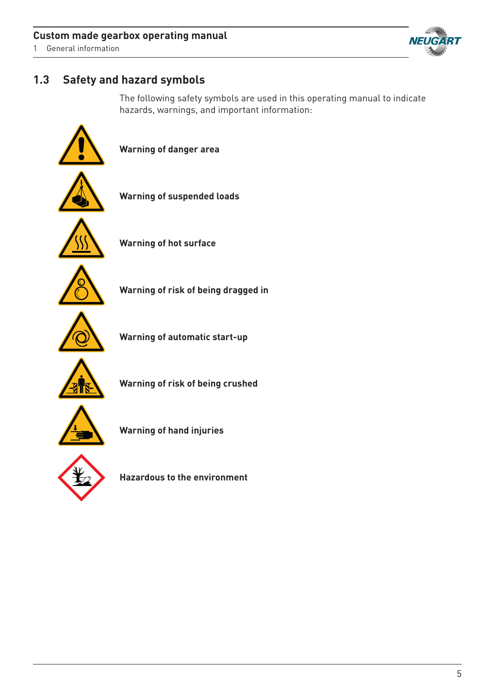1 General information

# **NEUGART**

# **1.3 Safety and hazard symbols**

The following safety symbols are used in this operating manual to indicate hazards, warnings, and important information:





**Hazardous to the environment**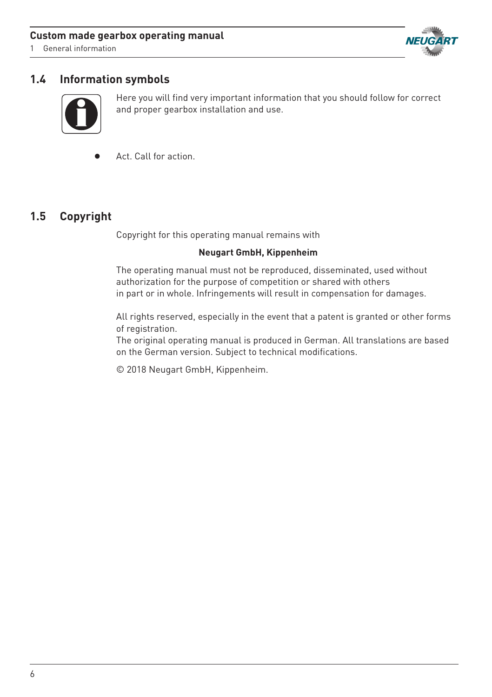#### **Custom made gearbox operating manual**

1 General information



## **1.4 Information symbols**



Here you will find very important information that you should follow for correct and proper gearbox installation and use.

Act. Call for action. •

## **1.5 Copyright**

Copyright for this operating manual remains with

#### **Neugart GmbH, Kippenheim**

The operating manual must not be reproduced, disseminated, used without authorization for the purpose of competition or shared with others in part or in whole. Infringements will result in compensation for damages.

All rights reserved, especially in the event that a patent is granted or other forms of registration.

The original operating manual is produced in German. All translations are based on the German version. Subject to technical modifications.

© 2018 Neugart GmbH, Kippenheim.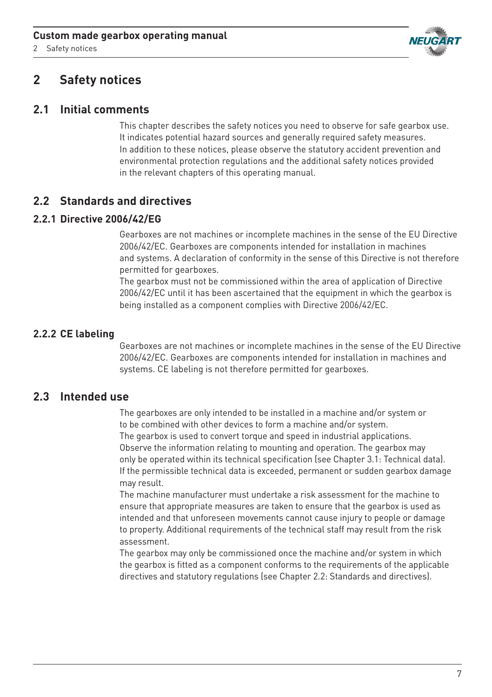2 Safety notices



# **2 Safety notices**

## **2.1 Initial comments**

This chapter describes the safety notices you need to observe for safe gearbox use. It indicates potential hazard sources and generally required safety measures. In addition to these notices, please observe the statutory accident prevention and environmental protection regulations and the additional safety notices provided in the relevant chapters of this operating manual.

## **2.2 Standards and directives**

#### **2.2.1 Directive 2006/42/EG**

Gearboxes are not machines or incomplete machines in the sense of the EU Directive 2006/42/EC. Gearboxes are components intended for installation in machines and systems. A declaration of conformity in the sense of this Directive is not therefore permitted for gearboxes.

The gearbox must not be commissioned within the area of application of Directive 2006/42/EC until it has been ascertained that the equipment in which the gearbox is being installed as a component complies with Directive 2006/42/EC.

## **2.2.2 CE labeling**

Gearboxes are not machines or incomplete machines in the sense of the EU Directive 2006/42/EC. Gearboxes are components intended for installation in machines and systems. CE labeling is not therefore permitted for gearboxes.

## **2.3 Intended use**

The gearboxes are only intended to be installed in a machine and/or system or to be combined with other devices to form a machine and/or system. The gearbox is used to convert torque and speed in industrial applications. Observe the information relating to mounting and operation. The gearbox may only be operated within its technical specification (see Chapter 3.1: Technical data). If the permissible technical data is exceeded, permanent or sudden gearbox damage may result.

The machine manufacturer must undertake a risk assessment for the machine to ensure that appropriate measures are taken to ensure that the gearbox is used as intended and that unforeseen movements cannot cause injury to people or damage to property. Additional requirements of the technical staff may result from the risk assessment.

The gearbox may only be commissioned once the machine and/or system in which the gearbox is fitted as a component conforms to the requirements of the applicable directives and statutory regulations (see Chapter 2.2: Standards and directives).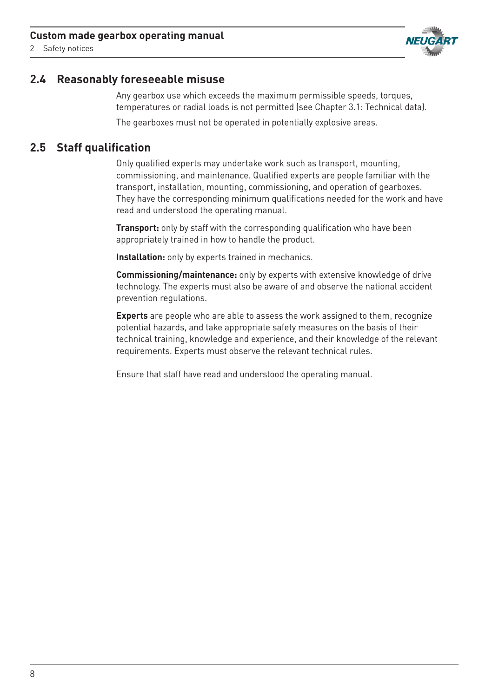

2 Safety notices

## **2.4 Reasonably foreseeable misuse**

Any gearbox use which exceeds the maximum permissible speeds, torques, temperatures or radial loads is not permitted (see Chapter 3.1: Technical data). The gearboxes must not be operated in potentially explosive areas.

## **2.5 Staff qualification**

Only qualified experts may undertake work such as transport, mounting, commissioning, and maintenance. Qualified experts are people familiar with the transport, installation, mounting, commissioning, and operation of gearboxes. They have the corresponding minimum qualifications needed for the work and have read and understood the operating manual.

**Transport:** only by staff with the corresponding qualification who have been appropriately trained in how to handle the product.

**Installation:** only by experts trained in mechanics.

**Commissioning/maintenance:** only by experts with extensive knowledge of drive technology. The experts must also be aware of and observe the national accident prevention regulations.

**Experts** are people who are able to assess the work assigned to them, recognize potential hazards, and take appropriate safety measures on the basis of their technical training, knowledge and experience, and their knowledge of the relevant requirements. Experts must observe the relevant technical rules.

Ensure that staff have read and understood the operating manual.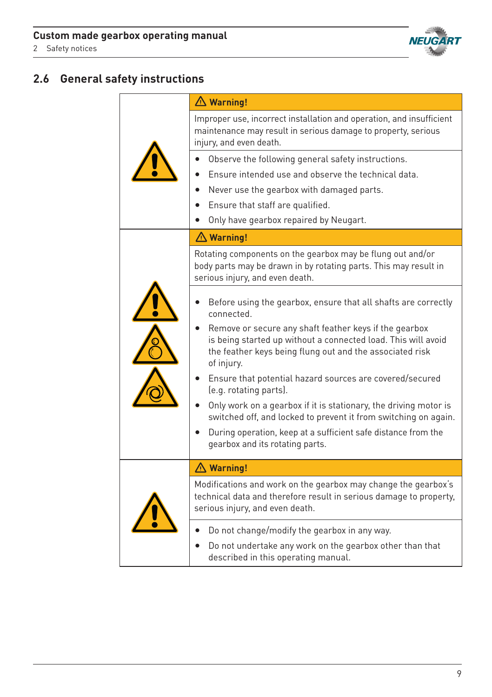

# **2.6 General safety instructions**

|  | $\triangle$ Warning!                                                                                                                                                                              |
|--|---------------------------------------------------------------------------------------------------------------------------------------------------------------------------------------------------|
|  | Improper use, incorrect installation and operation, and insufficient<br>maintenance may result in serious damage to property, serious<br>injury, and even death.                                  |
|  | Observe the following general safety instructions.                                                                                                                                                |
|  | Ensure intended use and observe the technical data.                                                                                                                                               |
|  | Never use the gearbox with damaged parts.                                                                                                                                                         |
|  | Ensure that staff are qualified.                                                                                                                                                                  |
|  | Only have gearbox repaired by Neugart.                                                                                                                                                            |
|  | $\triangle$ Warning!                                                                                                                                                                              |
|  | Rotating components on the gearbox may be flung out and/or<br>body parts may be drawn in by rotating parts. This may result in<br>serious injury, and even death.                                 |
|  | Before using the gearbox, ensure that all shafts are correctly<br>connected.                                                                                                                      |
|  | Remove or secure any shaft feather keys if the gearbox<br>is being started up without a connected load. This will avoid<br>the feather keys being flung out and the associated risk<br>of injury. |
|  | Ensure that potential hazard sources are covered/secured<br>(e.g. rotating parts).                                                                                                                |
|  | Only work on a gearbox if it is stationary, the driving motor is<br>switched off, and locked to prevent it from switching on again.                                                               |
|  | During operation, keep at a sufficient safe distance from the<br>gearbox and its rotating parts.                                                                                                  |
|  | △ Warning!                                                                                                                                                                                        |
|  | Modifications and work on the gearbox may change the gearbox's<br>technical data and therefore result in serious damage to property,<br>serious injury, and even death.                           |
|  | Do not change/modify the gearbox in any way.                                                                                                                                                      |
|  | Do not undertake any work on the gearbox other than that<br>described in this operating manual.                                                                                                   |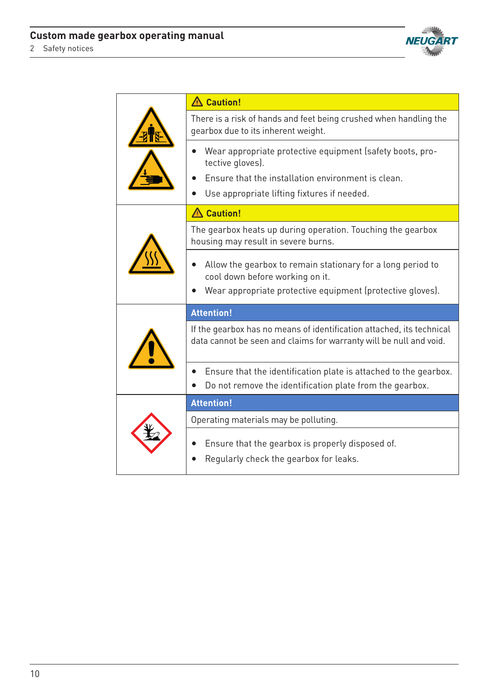

|  | A Caution!                                                                                                                                                   |
|--|--------------------------------------------------------------------------------------------------------------------------------------------------------------|
|  | There is a risk of hands and feet being crushed when handling the<br>gearbox due to its inherent weight.                                                     |
|  | Wear appropriate protective equipment (safety boots, pro-<br>tective gloves).                                                                                |
|  | Ensure that the installation environment is clean.                                                                                                           |
|  | Use appropriate lifting fixtures if needed.                                                                                                                  |
|  | A Caution!                                                                                                                                                   |
|  | The gearbox heats up during operation. Touching the gearbox<br>housing may result in severe burns.                                                           |
|  | Allow the gearbox to remain stationary for a long period to<br>cool down before working on it.<br>Wear appropriate protective equipment (protective gloves). |
|  |                                                                                                                                                              |
|  | <b>Attention!</b>                                                                                                                                            |
|  | If the gearbox has no means of identification attached, its technical<br>data cannot be seen and claims for warranty will be null and void.                  |
|  | Ensure that the identification plate is attached to the gearbox.                                                                                             |
|  | Do not remove the identification plate from the gearbox.                                                                                                     |
|  | <b>Attention!</b>                                                                                                                                            |
|  | Operating materials may be polluting.                                                                                                                        |
|  | Ensure that the gearbox is properly disposed of.                                                                                                             |
|  | Regularly check the gearbox for leaks.                                                                                                                       |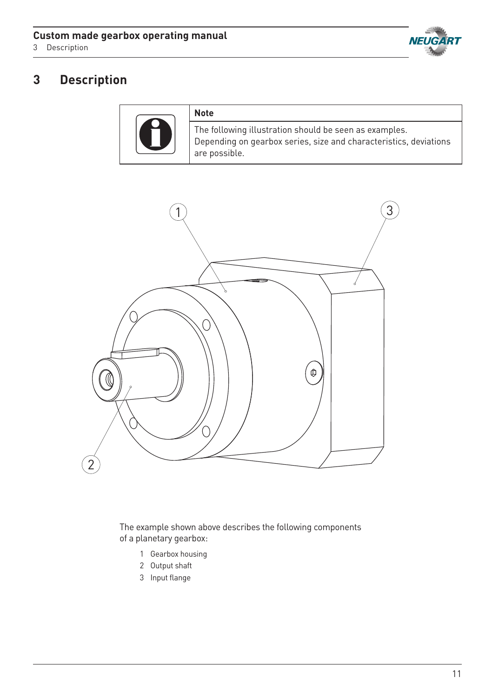

# **3 Description**

| <b>Note</b>                                                                                                                                  |
|----------------------------------------------------------------------------------------------------------------------------------------------|
| The following illustration should be seen as examples.<br>Depending on gearbox series, size and characteristics, deviations<br>are possible. |



The example shown above describes the following components of a planetary gearbox:

- 1 Gearbox housing
- 2 Output shaft
- 3 Input flange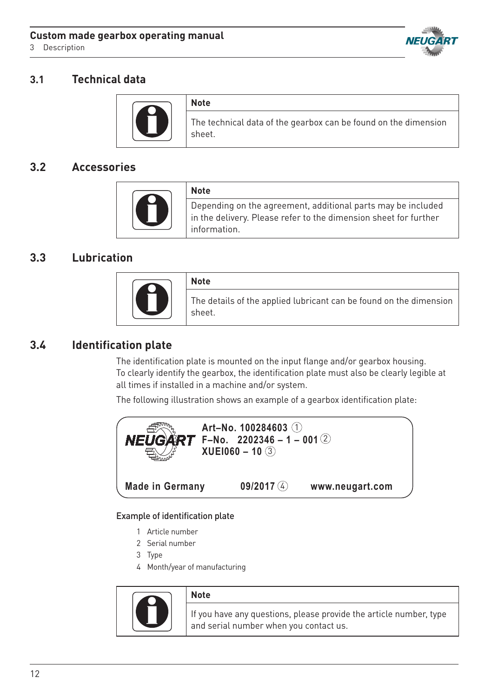3 Description



## **3.1 Technical data**

|  | <b>Note</b>                                                               |
|--|---------------------------------------------------------------------------|
|  | The technical data of the gearbox can be found on the dimension<br>sheet. |

## **3.2 Accessories**

|  | <b>Note</b>                                                                                                                                     |
|--|-------------------------------------------------------------------------------------------------------------------------------------------------|
|  | Depending on the agreement, additional parts may be included<br>in the delivery. Please refer to the dimension sheet for further<br>information |

## **3.3 Lubrication**

| <b>Note</b>                                                                  |
|------------------------------------------------------------------------------|
| The details of the applied lubricant can be found on the dimension<br>sheet. |

## **3.4 Identification plate**

The identification plate is mounted on the input flange and/or gearbox housing. To clearly identify the gearbox, the identification plate must also be clearly legible at all times if installed in a machine and/or system.

The following illustration shows an example of a gearbox identification plate:



#### Example of identification plate

- 1 Article number
- 2 Serial number<br>**Betriebs** 
	- 3 Type
	- 4 Month/year of manufacturing **II 2G c T4 X**



#### **Note**

If you have any questions, please provide the article number, type and serial number when you contact us.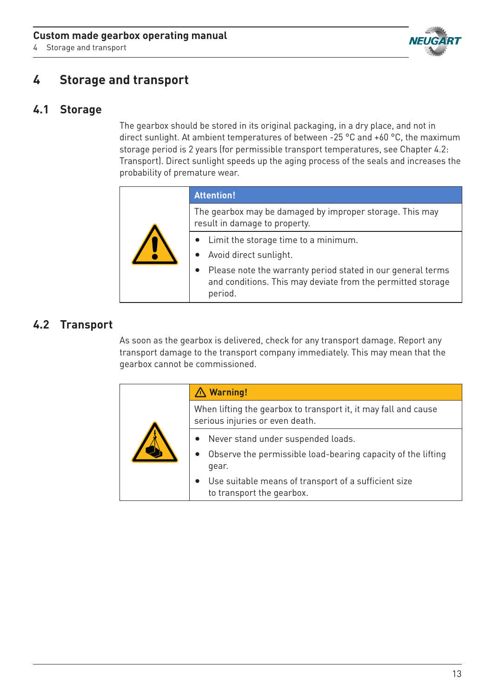4 Storage and transport



# **4 Storage and transport**

## **4.1 Storage**

The gearbox should be stored in its original packaging, in a dry place, and not in direct sunlight. At ambient temperatures of between -25 °C and +60 °C, the maximum storage period is 2 years (for permissible transport temperatures, see Chapter 4.2: Transport). Direct sunlight speeds up the aging process of the seals and increases the probability of premature wear.

|  | <b>Attention!</b>                                                                                                                     |
|--|---------------------------------------------------------------------------------------------------------------------------------------|
|  | The gearbox may be damaged by improper storage. This may<br>result in damage to property.                                             |
|  | • Limit the storage time to a minimum.<br>Avoid direct sunlight.                                                                      |
|  | Please note the warranty period stated in our general terms<br>and conditions. This may deviate from the permitted storage<br>period. |

## **4.2 Transport**

As soon as the gearbox is delivered, check for any transport damage. Report any transport damage to the transport company immediately. This may mean that the gearbox cannot be commissioned.

|  | $\triangle$ Warning!                                                                                                                                                                                                         |
|--|------------------------------------------------------------------------------------------------------------------------------------------------------------------------------------------------------------------------------|
|  | When lifting the gearbox to transport it, it may fall and cause<br>serious injuries or even death.                                                                                                                           |
|  | • Never stand under suspended loads.<br>Observe the permissible load-bearing capacity of the lifting<br>$\bullet$<br>qear.<br>Use suitable means of transport of a sufficient size<br>$\bullet$<br>to transport the gearbox. |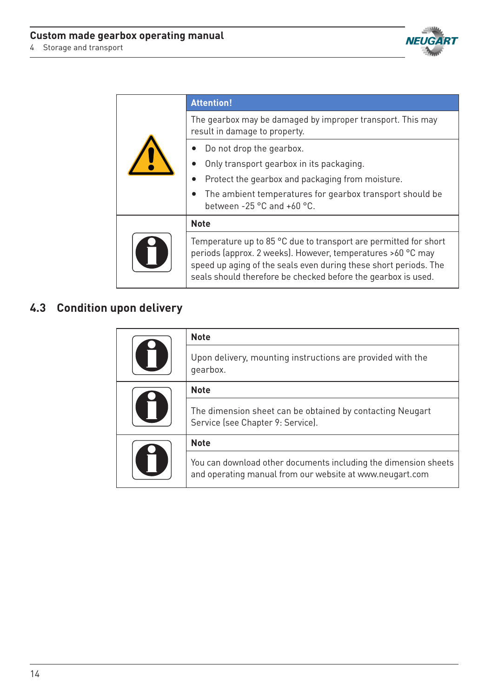

|  | <b>Attention!</b>                                                                                                                                                                                                                                                    |  |
|--|----------------------------------------------------------------------------------------------------------------------------------------------------------------------------------------------------------------------------------------------------------------------|--|
|  | The gearbox may be damaged by improper transport. This may<br>result in damage to property.                                                                                                                                                                          |  |
|  | Do not drop the gearbox.<br>Only transport gearbox in its packaging.<br>Protect the gearbox and packaging from moisture.<br>The ambient temperatures for gearbox transport should be<br>between -25 $^{\circ}$ C and +60 $^{\circ}$ C.                               |  |
|  | <b>Note</b>                                                                                                                                                                                                                                                          |  |
|  | Temperature up to 85 °C due to transport are permitted for short<br>periods (approx. 2 weeks). However, temperatures >60 °C may<br>speed up aging of the seals even during these short periods. The<br>seals should therefore be checked before the gearbox is used. |  |

# **4.3 Condition upon delivery**

| O   | <b>Note</b>                                                                                                                 |
|-----|-----------------------------------------------------------------------------------------------------------------------------|
|     | Upon delivery, mounting instructions are provided with the<br>gearbox.                                                      |
| O   | <b>Note</b>                                                                                                                 |
|     | The dimension sheet can be obtained by contacting Neugart<br>Service (see Chapter 9: Service).                              |
| IT. | <b>Note</b>                                                                                                                 |
|     | You can download other documents including the dimension sheets<br>and operating manual from our website at www.neugart.com |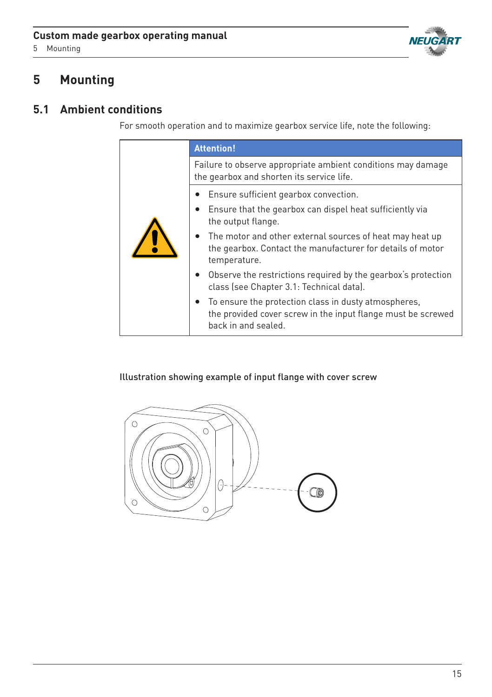



# **5 Mounting**

# **5.1 Ambient conditions**

For smooth operation and to maximize gearbox service life, note the following:

|  | <b>Attention!</b>                                                                                                                           |
|--|---------------------------------------------------------------------------------------------------------------------------------------------|
|  | Failure to observe appropriate ambient conditions may damage<br>the gearbox and shorten its service life.                                   |
|  | Ensure sufficient gearbox convection.                                                                                                       |
|  | Ensure that the gearbox can dispel heat sufficiently via<br>the output flange.                                                              |
|  | The motor and other external sources of heat may heat up<br>the gearbox. Contact the manufacturer for details of motor<br>temperature.      |
|  | Observe the restrictions required by the gearbox's protection<br>class (see Chapter 3.1: Technical data).                                   |
|  | To ensure the protection class in dusty atmospheres,<br>the provided cover screw in the input flange must be screwed<br>back in and sealed. |

Illustration showing example of input flange with cover screw

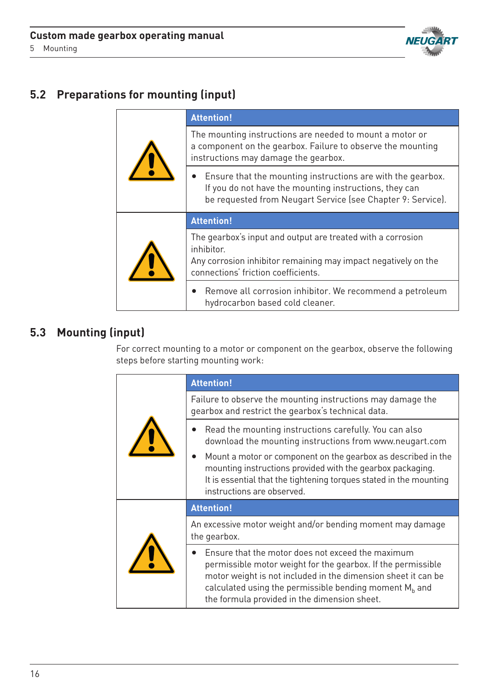

# **5.2 Preparations for mounting (input)**

|  | <b>Attention!</b>                                                                                                                                                                                 |
|--|---------------------------------------------------------------------------------------------------------------------------------------------------------------------------------------------------|
|  | The mounting instructions are needed to mount a motor or<br>a component on the gearbox. Failure to observe the mounting<br>instructions may damage the gearbox.                                   |
|  | Ensure that the mounting instructions are with the gearbox.<br>$\bullet$<br>If you do not have the mounting instructions, they can<br>be requested from Neugart Service (see Chapter 9: Service). |
|  | <b>Attention!</b>                                                                                                                                                                                 |
|  | The gearbox's input and output are treated with a corrosion<br>inhibitor.<br>Any corrosion inhibitor remaining may impact negatively on the<br>connections' friction coefficients.                |
|  | Remove all corrosion inhibitor. We recommend a petroleum<br>hydrocarbon based cold cleaner.                                                                                                       |

## **5.3 Mounting (input)**

For correct mounting to a motor or component on the gearbox, observe the following steps before starting mounting work:

|  | <b>Attention!</b>                                                                                                                                                                                                                                                                              |
|--|------------------------------------------------------------------------------------------------------------------------------------------------------------------------------------------------------------------------------------------------------------------------------------------------|
|  | Failure to observe the mounting instructions may damage the<br>gearbox and restrict the gearbox's technical data.                                                                                                                                                                              |
|  | Read the mounting instructions carefully. You can also<br>download the mounting instructions from www.neugart.com                                                                                                                                                                              |
|  | Mount a motor or component on the gearbox as described in the<br>mounting instructions provided with the gearbox packaging.<br>It is essential that the tightening torques stated in the mounting<br>instructions are observed.                                                                |
|  | <b>Attention!</b>                                                                                                                                                                                                                                                                              |
|  | An excessive motor weight and/or bending moment may damage<br>the gearbox.                                                                                                                                                                                                                     |
|  | Ensure that the motor does not exceed the maximum<br>permissible motor weight for the gearbox. If the permissible<br>motor weight is not included in the dimension sheet it can be<br>calculated using the permissible bending moment $Mb$ and<br>the formula provided in the dimension sheet. |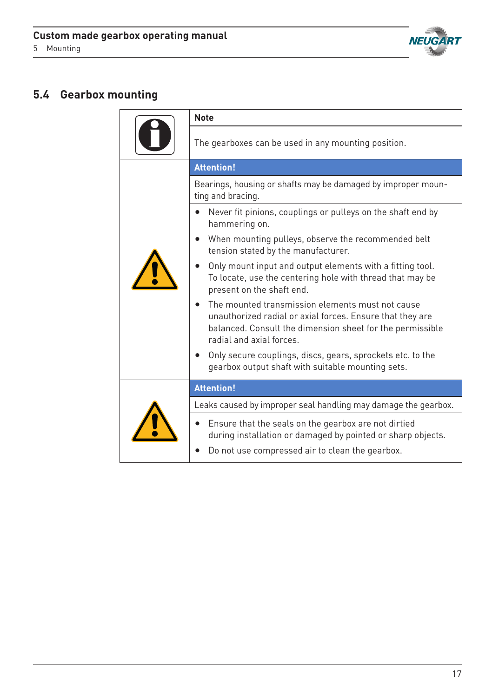

# **5.4 Gearbox mounting**

|  | <b>Note</b>                                                                                                                                                                                            |
|--|--------------------------------------------------------------------------------------------------------------------------------------------------------------------------------------------------------|
|  | The gearboxes can be used in any mounting position.                                                                                                                                                    |
|  | <b>Attention!</b>                                                                                                                                                                                      |
|  | Bearings, housing or shafts may be damaged by improper moun-<br>ting and bracing.                                                                                                                      |
|  | Never fit pinions, couplings or pulleys on the shaft end by<br>hammering on.                                                                                                                           |
|  | When mounting pulleys, observe the recommended belt<br>tension stated by the manufacturer.                                                                                                             |
|  | Only mount input and output elements with a fitting tool.<br>To locate, use the centering hole with thread that may be<br>present on the shaft end.                                                    |
|  | The mounted transmission elements must not cause<br>unauthorized radial or axial forces. Ensure that they are<br>balanced. Consult the dimension sheet for the permissible<br>radial and axial forces. |
|  | Only secure couplings, discs, gears, sprockets etc. to the<br>gearbox output shaft with suitable mounting sets.                                                                                        |
|  | <b>Attention!</b>                                                                                                                                                                                      |
|  | Leaks caused by improper seal handling may damage the gearbox.                                                                                                                                         |
|  | Ensure that the seals on the gearbox are not dirtied<br>during installation or damaged by pointed or sharp objects.                                                                                    |
|  | Do not use compressed air to clean the gearbox.                                                                                                                                                        |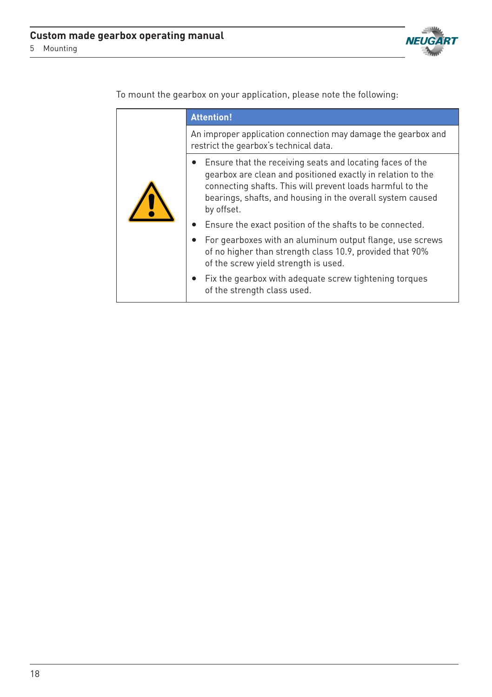

**Attention!** An improper application connection may damage the gearbox and restrict the gearbox's technical data. • Ensure that the receiving seats and locating faces of the gearbox are clean and positioned exactly in relation to the connecting shafts. This will prevent loads harmful to the bearings, shafts, and housing in the overall system caused by offset. • Ensure the exact position of the shafts to be connected. • For gearboxes with an aluminum output flange, use screws of no higher than strength class 10.9, provided that 90% of the screw yield strength is used. • Fix the gearbox with adequate screw tightening torques of the strength class used.

To mount the gearbox on your application, please note the following: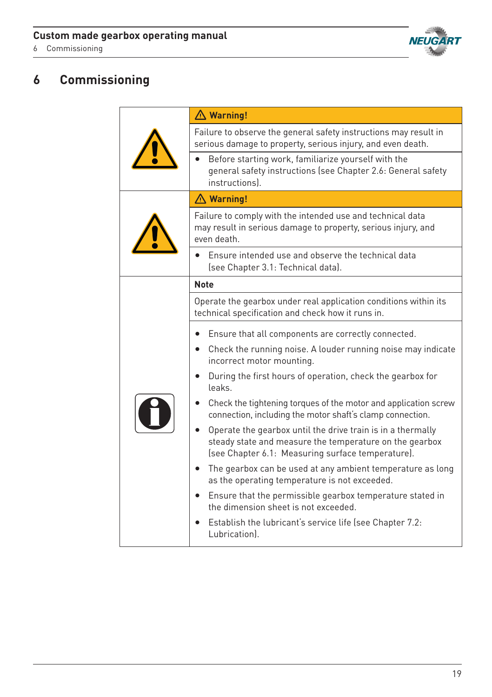6 Commissioning



# **6 Commissioning**

|  | $\triangle$ Warning!                                                                                                                                                        |
|--|-----------------------------------------------------------------------------------------------------------------------------------------------------------------------------|
|  | Failure to observe the general safety instructions may result in<br>serious damage to property, serious injury, and even death.                                             |
|  | Before starting work, familiarize yourself with the<br>general safety instructions (see Chapter 2.6: General safety<br>instructions).                                       |
|  | $\triangle$ Warning!                                                                                                                                                        |
|  | Failure to comply with the intended use and technical data<br>may result in serious damage to property, serious injury, and<br>even death.                                  |
|  | Ensure intended use and observe the technical data<br>(see Chapter 3.1: Technical data).                                                                                    |
|  | <b>Note</b>                                                                                                                                                                 |
|  | Operate the gearbox under real application conditions within its<br>technical specification and check how it runs in.                                                       |
|  | Ensure that all components are correctly connected.                                                                                                                         |
|  | Check the running noise. A louder running noise may indicate<br>incorrect motor mounting.                                                                                   |
|  | During the first hours of operation, check the gearbox for<br>٠<br>leaks.                                                                                                   |
|  | Check the tightening torques of the motor and application screw<br>connection, including the motor shaft's clamp connection.                                                |
|  | Operate the gearbox until the drive train is in a thermally<br>steady state and measure the temperature on the gearbox<br>(see Chapter 6.1: Measuring surface temperature). |
|  | The gearbox can be used at any ambient temperature as long<br>٠<br>as the operating temperature is not exceeded.                                                            |
|  | Ensure that the permissible gearbox temperature stated in<br>$\bullet$<br>the dimension sheet is not exceeded.                                                              |
|  | Establish the lubricant's service life (see Chapter 7.2:<br>Lubrication).                                                                                                   |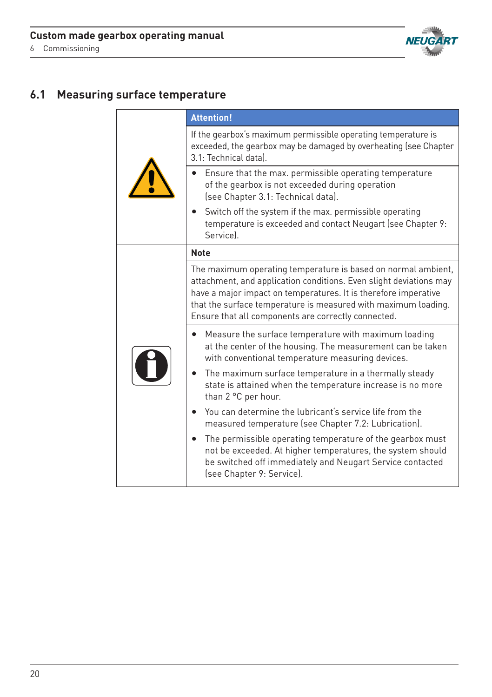

# **6.1 Measuring surface temperature**

|  | <b>Attention!</b>                                                                                                                                                                                                                                                                                                               |
|--|---------------------------------------------------------------------------------------------------------------------------------------------------------------------------------------------------------------------------------------------------------------------------------------------------------------------------------|
|  | If the gearbox's maximum permissible operating temperature is<br>exceeded, the gearbox may be damaged by overheating (see Chapter<br>3.1: Technical datal.                                                                                                                                                                      |
|  | Ensure that the max. permissible operating temperature<br>of the gearbox is not exceeded during operation<br>(see Chapter 3.1: Technical data).                                                                                                                                                                                 |
|  | Switch off the system if the max. permissible operating<br>temperature is exceeded and contact Neugart (see Chapter 9:<br>Servicel.                                                                                                                                                                                             |
|  | <b>Note</b>                                                                                                                                                                                                                                                                                                                     |
|  | The maximum operating temperature is based on normal ambient,<br>attachment, and application conditions. Even slight deviations may<br>have a major impact on temperatures. It is therefore imperative<br>that the surface temperature is measured with maximum loading.<br>Ensure that all components are correctly connected. |
|  | Measure the surface temperature with maximum loading<br>at the center of the housing. The measurement can be taken<br>with conventional temperature measuring devices.                                                                                                                                                          |
|  | The maximum surface temperature in a thermally steady<br>state is attained when the temperature increase is no more<br>than 2 °C per hour.                                                                                                                                                                                      |
|  | You can determine the lubricant's service life from the<br>measured temperature (see Chapter 7.2: Lubrication).                                                                                                                                                                                                                 |
|  | The permissible operating temperature of the gearbox must<br>not be exceeded. At higher temperatures, the system should<br>be switched off immediately and Neugart Service contacted<br>(see Chapter 9: Service).                                                                                                               |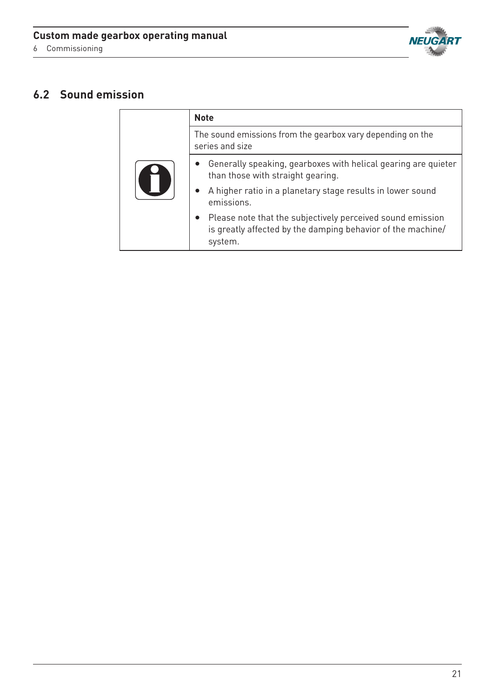

# **6.2 Sound emission**

|  | <b>Note</b>                                                                                                                          |
|--|--------------------------------------------------------------------------------------------------------------------------------------|
|  | The sound emissions from the gearbox vary depending on the<br>series and size                                                        |
|  | • Generally speaking, gearboxes with helical gearing are quieter<br>than those with straight gearing.                                |
|  | A higher ratio in a planetary stage results in lower sound<br>emissions.                                                             |
|  | Please note that the subjectively perceived sound emission<br>is greatly affected by the damping behavior of the machine/<br>system. |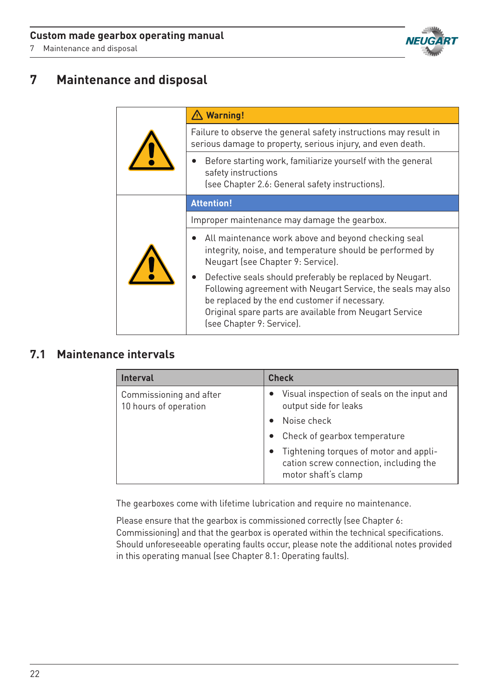7 Maintenance and disposal



# **7 Maintenance and disposal**

|  | $\triangle$ Warning!                                                                                                                                                                                                                                               |
|--|--------------------------------------------------------------------------------------------------------------------------------------------------------------------------------------------------------------------------------------------------------------------|
|  | Failure to observe the general safety instructions may result in<br>serious damage to property, serious injury, and even death.                                                                                                                                    |
|  | Before starting work, familiarize yourself with the general<br>safety instructions<br>(see Chapter 2.6: General safety instructions).                                                                                                                              |
|  | <b>Attention!</b>                                                                                                                                                                                                                                                  |
|  | Improper maintenance may damage the gearbox.                                                                                                                                                                                                                       |
|  | All maintenance work above and beyond checking seal<br>$\bullet$<br>integrity, noise, and temperature should be performed by<br>Neugart (see Chapter 9: Service).                                                                                                  |
|  | Defective seals should preferably be replaced by Neugart.<br>Following agreement with Neugart Service, the seals may also<br>be replaced by the end customer if necessary.<br>Original spare parts are available from Neugart Service<br>(see Chapter 9: Service). |

## **7.1 Maintenance intervals**

| <b>Interval</b>                                  | <b>Check</b>                                                                                            |
|--------------------------------------------------|---------------------------------------------------------------------------------------------------------|
| Commissioning and after<br>10 hours of operation | • Visual inspection of seals on the input and<br>output side for leaks                                  |
|                                                  | Noise check                                                                                             |
|                                                  | Check of gearbox temperature                                                                            |
|                                                  | Tightening torques of motor and appli-<br>cation screw connection, including the<br>motor shaft's clamp |

The gearboxes come with lifetime lubrication and require no maintenance.

Please ensure that the gearbox is commissioned correctly (see Chapter 6: Commissioning) and that the gearbox is operated within the technical specifications. Should unforeseeable operating faults occur, please note the additional notes provided in this operating manual (see Chapter 8.1: Operating faults).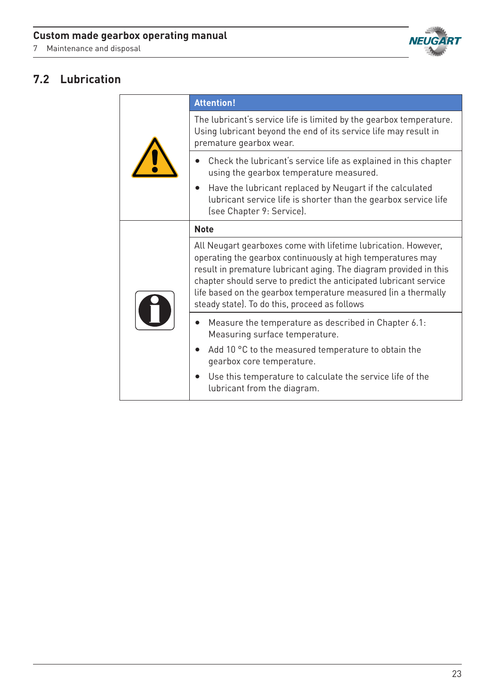

# **7.2 Lubrication**

|  | <b>Attention!</b>                                                                                                                                                                                                                                                                                                                                                                          |
|--|--------------------------------------------------------------------------------------------------------------------------------------------------------------------------------------------------------------------------------------------------------------------------------------------------------------------------------------------------------------------------------------------|
|  | The lubricant's service life is limited by the gearbox temperature.<br>Using lubricant beyond the end of its service life may result in<br>premature gearbox wear.                                                                                                                                                                                                                         |
|  | Check the lubricant's service life as explained in this chapter<br>using the gearbox temperature measured.                                                                                                                                                                                                                                                                                 |
|  | Have the lubricant replaced by Neugart if the calculated<br>lubricant service life is shorter than the gearbox service life<br>(see Chapter 9: Service).                                                                                                                                                                                                                                   |
|  | <b>Note</b>                                                                                                                                                                                                                                                                                                                                                                                |
|  | All Neugart gearboxes come with lifetime lubrication. However,<br>operating the gearbox continuously at high temperatures may<br>result in premature lubricant aging. The diagram provided in this<br>chapter should serve to predict the anticipated lubricant service<br>life based on the gearbox temperature measured (in a thermally<br>steady state). To do this, proceed as follows |
|  | Measure the temperature as described in Chapter 6.1:<br>Measuring surface temperature.                                                                                                                                                                                                                                                                                                     |
|  | Add 10 °C to the measured temperature to obtain the<br>gearbox core temperature.                                                                                                                                                                                                                                                                                                           |
|  | Use this temperature to calculate the service life of the<br>lubricant from the diagram.                                                                                                                                                                                                                                                                                                   |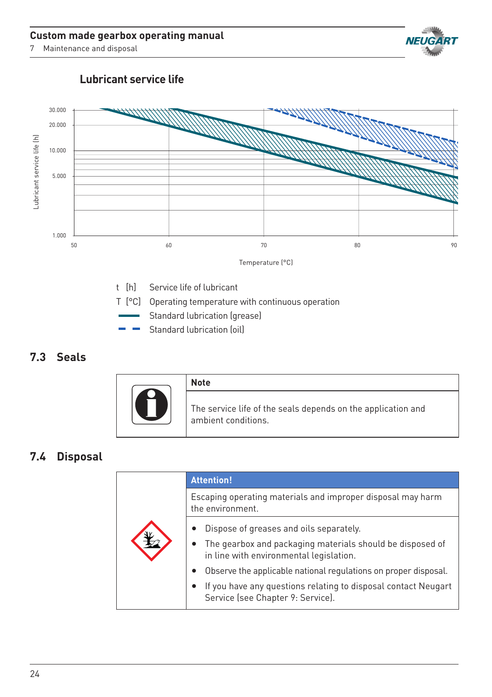Maintenance and disposal



## **Lubricant service life**



t [h] Service life of lubricant

- T [°C] Operating temperature with continuous operation
- Standard lubrication (grease)
- Standard lubrication (oil)

## **7.3 Seals**



## **7.4 Disposal**

|  | <b>Attention!</b>                                                                                                                                                                                                                                                                                                           |
|--|-----------------------------------------------------------------------------------------------------------------------------------------------------------------------------------------------------------------------------------------------------------------------------------------------------------------------------|
|  | Escaping operating materials and improper disposal may harm<br>the environment.                                                                                                                                                                                                                                             |
|  | Dispose of greases and oils separately.<br>• The gearbox and packaging materials should be disposed of<br>in line with environmental legislation.<br>Observe the applicable national regulations on proper disposal.<br>If you have any questions relating to disposal contact Neugart<br>Service (see Chapter 9: Service). |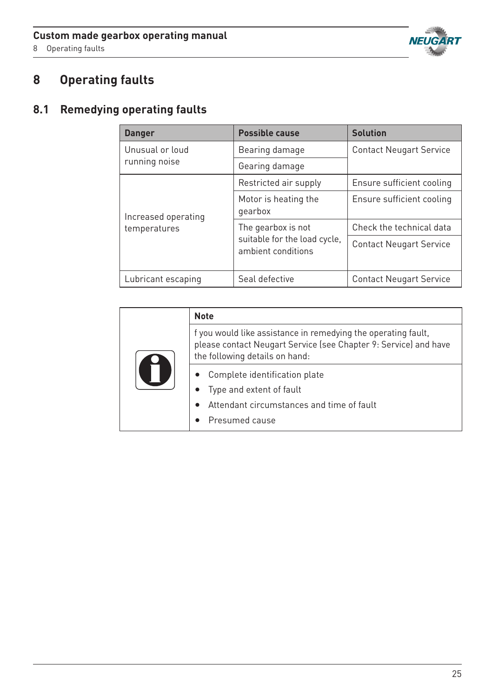

# **8 Operating faults**

# **8.1 Remedying operating faults**

| <b>Danger</b>       | <b>Possible cause</b>                                                    | <b>Solution</b>                |
|---------------------|--------------------------------------------------------------------------|--------------------------------|
| Unusual or loud     | Bearing damage                                                           | <b>Contact Neugart Service</b> |
| running noise       | Gearing damage                                                           |                                |
|                     | Restricted air supply                                                    | Ensure sufficient cooling      |
| Increased operating | Motor is heating the<br>gearbox                                          | Ensure sufficient cooling      |
| temperatures        | The gearbox is not<br>suitable for the load cycle,<br>ambient conditions | Check the technical data       |
|                     |                                                                          | <b>Contact Neugart Service</b> |
| Lubricant escaping  | Seal defective                                                           | <b>Contact Neugart Service</b> |

|  | <b>Note</b>                                                                                                                                                         |
|--|---------------------------------------------------------------------------------------------------------------------------------------------------------------------|
|  | f you would like assistance in remedying the operating fault,<br>please contact Neugart Service (see Chapter 9: Service) and have<br>the following details on hand: |
|  | Complete identification plate                                                                                                                                       |
|  | Type and extent of fault                                                                                                                                            |
|  | Attendant circumstances and time of fault                                                                                                                           |
|  | Presumed cause                                                                                                                                                      |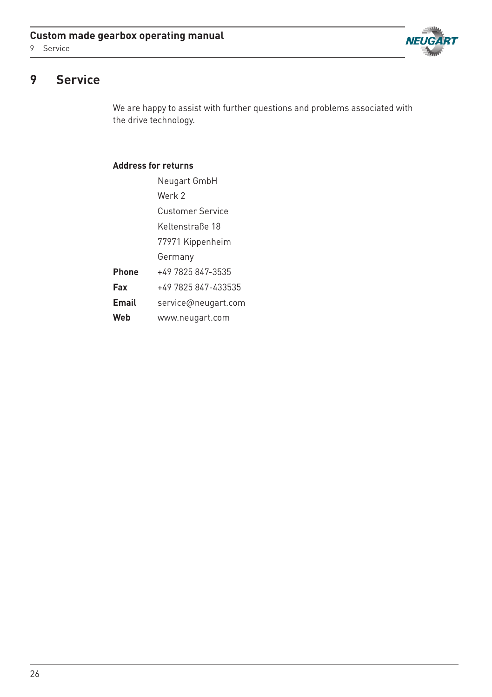



# **9 Service**

We are happy to assist with further questions and problems associated with the drive technology.

## **Address for returns**

|              | Neugart GmbH            |
|--------------|-------------------------|
|              | Werk 2                  |
|              | <b>Customer Service</b> |
|              | Keltenstraße 18         |
|              | 77971 Kippenheim        |
|              | Germany                 |
| <b>Phone</b> | +49 7825 847-3535       |
| Fax          | +49 7825 847-433535     |
| Email        | service@neugart.com     |
| Web          | www.neugart.com         |